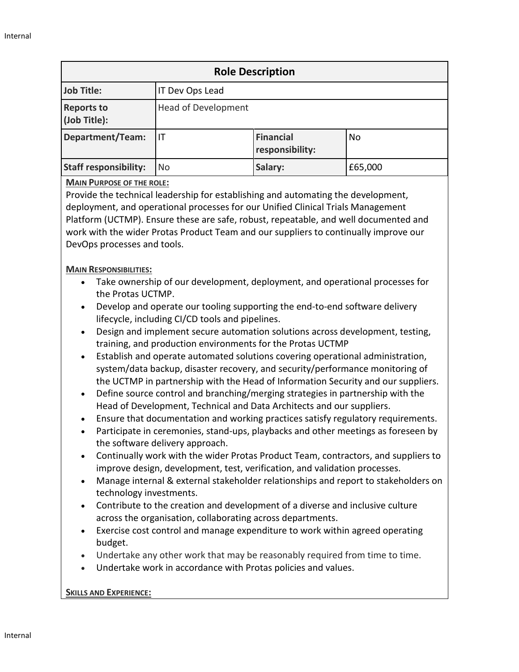| <b>Role Description</b>           |                            |                                     |           |
|-----------------------------------|----------------------------|-------------------------------------|-----------|
| <b>Job Title:</b>                 | IT Dev Ops Lead            |                                     |           |
| <b>Reports to</b><br>(Job Title): | <b>Head of Development</b> |                                     |           |
| <b>Department/Team:</b>           | IТ                         | <b>Financial</b><br>responsibility: | <b>No</b> |
| <b>Staff responsibility:</b>      | No                         | Salary:                             | £65,000   |

### **MAIN PURPOSE OF THE ROLE:**

Provide the technical leadership for establishing and automating the development, deployment, and operational processes for our Unified Clinical Trials Management Platform (UCTMP). Ensure these are safe, robust, repeatable, and well documented and work with the wider Protas Product Team and our suppliers to continually improve our DevOps processes and tools.

### **MAIN RESPONSIBILITIES:**

- Take ownership of our development, deployment, and operational processes for the Protas UCTMP.
- Develop and operate our tooling supporting the end-to-end software delivery lifecycle, including CI/CD tools and pipelines.
- Design and implement secure automation solutions across development, testing, training, and production environments for the Protas UCTMP
- Establish and operate automated solutions covering operational administration, system/data backup, disaster recovery, and security/performance monitoring of the UCTMP in partnership with the Head of Information Security and our suppliers.
- Define source control and branching/merging strategies in partnership with the Head of Development, Technical and Data Architects and our suppliers.
- Ensure that documentation and working practices satisfy regulatory requirements.
- Participate in ceremonies, stand-ups, playbacks and other meetings as foreseen by the software delivery approach.
- Continually work with the wider Protas Product Team, contractors, and suppliers to improve design, development, test, verification, and validation processes.
- Manage internal & external stakeholder relationships and report to stakeholders on technology investments.
- Contribute to the creation and development of a diverse and inclusive culture across the organisation, collaborating across departments.
- Exercise cost control and manage expenditure to work within agreed operating budget.
- Undertake any other work that may be reasonably required from time to time.
- Undertake work in accordance with Protas policies and values.

## **SKILLS AND EXPERIENCE:**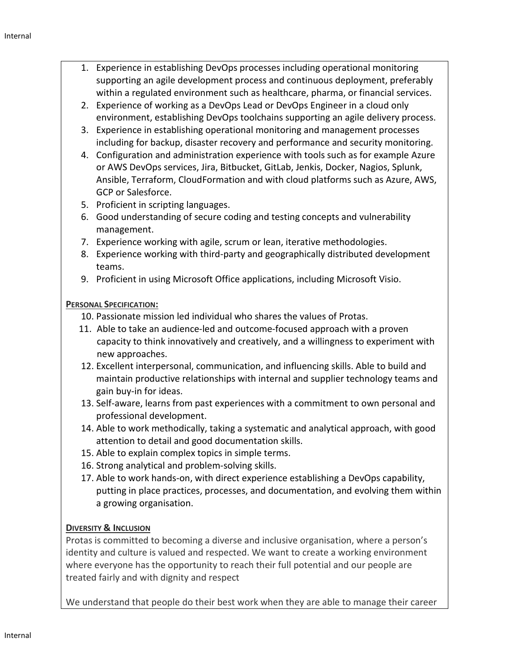- 1. Experience in establishing DevOps processes including operational monitoring supporting an agile development process and continuous deployment, preferably within a regulated environment such as healthcare, pharma, or financial services.
- 2. Experience of working as a DevOps Lead or DevOps Engineer in a cloud only environment, establishing DevOps toolchains supporting an agile delivery process.
- 3. Experience in establishing operational monitoring and management processes including for backup, disaster recovery and performance and security monitoring.
- 4. Configuration and administration experience with tools such as for example Azure or AWS DevOps services, Jira, Bitbucket, GitLab, Jenkis, Docker, Nagios, Splunk, Ansible, Terraform, CloudFormation and with cloud platforms such as Azure, AWS, GCP or Salesforce.
- 5. Proficient in scripting languages.
- 6. Good understanding of secure coding and testing concepts and vulnerability management.
- 7. Experience working with agile, scrum or lean, iterative methodologies.
- 8. Experience working with third-party and geographically distributed development teams.
- 9. Proficient in using Microsoft Office applications, including Microsoft Visio.

# **PERSONAL SPECIFICATION:**

- 10. Passionate mission led individual who shares the values of Protas.
- 11. Able to take an audience-led and outcome-focused approach with a proven capacity to think innovatively and creatively, and a willingness to experiment with new approaches.
- 12. Excellent interpersonal, communication, and influencing skills. Able to build and maintain productive relationships with internal and supplier technology teams and gain buy-in for ideas.
- 13. Self-aware, learns from past experiences with a commitment to own personal and professional development.
- 14. Able to work methodically, taking a systematic and analytical approach, with good attention to detail and good documentation skills.
- 15. Able to explain complex topics in simple terms.
- 16. Strong analytical and problem-solving skills.
- 17. Able to work hands-on, with direct experience establishing a DevOps capability, putting in place practices, processes, and documentation, and evolving them within a growing organisation.

# **DIVERSITY & INCLUSION**

Protas is committed to becoming a diverse and inclusive organisation, where a person's identity and culture is valued and respected. We want to create a working environment where everyone has the opportunity to reach their full potential and our people are treated fairly and with dignity and respect

We understand that people do their best work when they are able to manage their career